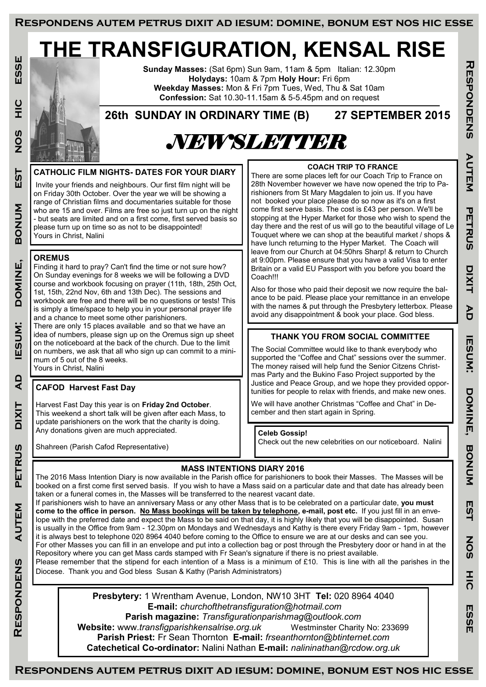# **THE TRANSFIGURATION, KENSAL RISE**

ESSE **Respondens autem petrus dixit ad iesum: domine, bonum est nos hic esse**  $\frac{C}{L}$ **SON EST MUNOB** DOMINE, **ESUM:**  $\overline{a}$ **DIXIT PETRUS AUTEM** RESPONDENS

**Sunday Masses:** (Sat 6pm) Sun 9am, 11am & 5pm Italian: 12.30pm **Holydays:** 10am & 7pm **Holy Hour:** Fri 6pm **Weekday Masses:** Mon & Fri 7pm Tues, Wed, Thu & Sat 10am **Confession:** Sat 10.30-11.15am & 5-5.45pm and on request

**26th SUNDAY IN ORDINARY TIME (B) 27 SEPTEMBER 2015**

# *NEWSLETTER*

## **CATHOLIC FILM NIGHTS- DATES FOR YOUR DIARY**

Invite your friends and neighbours. Our first film night will be on Friday 30th October. Over the year we will be showing a range of Christian films and documentaries suitable for those who are 15 and over. Films are free so just turn up on the night - but seats are limited and on a first come, first served basis so please turn up on time so as not to be disappointed! Yours in Christ, Nalini

## **OREMUS**

Finding it hard to pray? Can't find the time or not sure how? On Sunday evenings for 8 weeks we will be following a DVD course and workbook focusing on prayer (11th, 18th, 25th Oct, 1st, 15th, 22nd Nov, 6th and 13th Dec). The sessions and workbook are free and there will be no questions or tests! This is simply a time/space to help you in your personal prayer life and a chance to meet some other parishioners. There are only 15 places available and so that we have an idea of numbers, please sign up on the Oremus sign up sheet

on the noticeboard at the back of the church. Due to the limit on numbers, we ask that all who sign up can commit to a minimum of 5 out of the 8 weeks. Yours in Christ, Nalini

## **CAFOD Harvest Fast Day**

Harvest Fast Day this year is on **Friday 2nd October**. This weekend a short talk will be given after each Mass, to update parishioners on the work that the charity is doing. Any donations given are much appreciated.

Shahreen (Parish Cafod Representative)

## **COACH TRIP TO FRANCE**

There are some places left for our Coach Trip to France on 28th November however we have now opened the trip to Parishioners from St Mary Magdalen to join us. If you have not booked your place please do so now as it's on a first come first serve basis. The cost is £43 per person. We'll be stopping at the Hyper Market for those who wish to spend the day there and the rest of us will go to the beautiful village of Le Touquet where we can shop at the beautiful market / shops & have lunch returning to the Hyper Market. The Coach will leave from our Church at 04:50hrs Sharp! & return to Church at 9:00pm. Please ensure that you have a valid Visa to enter Britain or a valid EU Passport with you before you board the Coach!!!

Also for those who paid their deposit we now require the balance to be paid. Please place your remittance in an envelope with the names & put through the Presbytery letterbox. Please avoid any disappointment & book your place. God bless.

## **THANK YOU FROM SOCIAL COMMITTEE**

**Respondens autem petrus dixit ad iesum: domine, bonum est nos hic esse**

**IESUM:** 

DONINE,

**BONUM** 

EST

**NOS** 

 $rac{1}{20}$ 

ESSE

PD

**THOPONDENS** 

AUTEM

PETRUS

**DIXIT** 

The Social Committee would like to thank everybody who supported the "Coffee and Chat" sessions over the summer. The money raised will help fund the Senior Citzens Christmas Party and the Bukino Faso Project supported by the Justice and Peace Group, and we hope they provided opportunities for people to relax with friends, and make new ones.

We will have another Christmas "Coffee and Chat" in December and then start again in Spring.

### **Celeb Gossip!**

Check out the new celebrities on our noticeboard. Nalini

## **MASS INTENTIONS DIARY 2016**

The 2016 Mass Intention Diary is now available in the Parish office for parishioners to book their Masses. The Masses will be booked on a first come first served basis. If you wish to have a Mass said on a particular date and that date has already been taken or a funeral comes in, the Masses will be transferred to the nearest vacant date. If parishioners wish to have an anniversary Mass or any other Mass that is to be celebrated on a particular date, **you must** 

**come to the office in person. No Mass bookings will be taken by telephone, e-mail, post etc.** If you just fill in an envelope with the preferred date and expect the Mass to be said on that day, it is highly likely that you will be disappointed. Susan is usually in the Office from 9am - 12.30pm on Mondays and Wednesdays and Kathy is there every Friday 9am - 1pm, however it is always best to telephone 020 8964 4040 before coming to the Office to ensure we are at our desks and can see you. For other Masses you can fill in an envelope and put into a collection bag or post through the Presbytery door or hand in at the Repository where you can get Mass cards stamped with Fr Sean's signature if there is no priest available.

Please remember that the stipend for each intention of a Mass is a minimum of  $£10$ . This is line with all the parishes in the Diocese. Thank you and God bless Susan & Kathy (Parish Administrators)

> **Presbytery:** 1 Wrentham Avenue, London, NW10 3HT **Tel:** 020 8964 4040 **E-mail:** *churchofthetransfiguration@hotmail.com*  **Parish magazine:** *Transfigurationparishmag@outlook.com*

**Website:** www.*transfigparishkensalrise.org.uk* Westminster Charity No: 233699 **Parish Priest:** Fr Sean Thornton **E-mail:** *frseanthornton@btinternet.com*  **Catechetical Co-ordinator:** Nalini Nathan **E-mail:** *nalininathan@rcdow.org.uk*